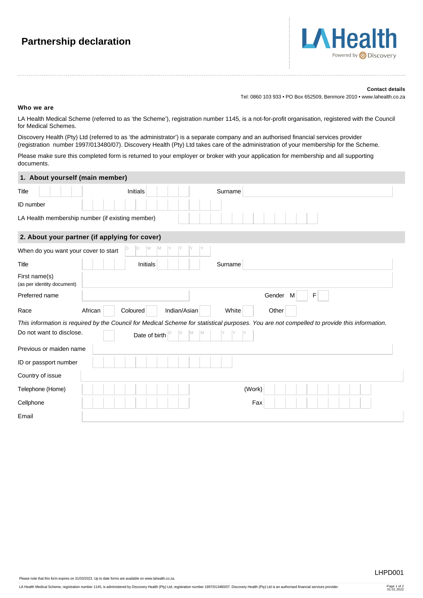## **Partnership declaration**



## **Contact details**

Tel: 0860 103 933 • PO Box 652509, Benmore 2010 • www.lahealth.co.za

## **Who we are**

LA Health Medical Scheme (referred to as 'the Scheme'), registration number 1145, is a not-for-profit organisation, registered with the Council for Medical Schemes.

Discovery Health (Pty) Ltd (referred to as 'the administrator') is a separate company and an authorised financial services provider (registration number 1997/013480/07). Discovery Health (Pty) Ltd takes care of the administration of your membership for the Scheme.

Please make sure this completed form is returned to your employer or broker with your application for membership and all supporting documents.

| 1. About yourself (main member)             |                                                                                                                                             |
|---------------------------------------------|---------------------------------------------------------------------------------------------------------------------------------------------|
| Title                                       | <b>Initials</b><br>Surname                                                                                                                  |
| ID number                                   |                                                                                                                                             |
|                                             | LA Health membership number (if existing member)                                                                                            |
|                                             | 2. About your partner (if applying for cover)                                                                                               |
| When do you want your cover to start        | <b>M</b><br>M                                                                                                                               |
| Title                                       | Initials<br>Surname                                                                                                                         |
| First name(s)<br>(as per identity document) |                                                                                                                                             |
| Preferred name                              | Gender M<br>F                                                                                                                               |
| Race                                        | African<br>Coloured<br>Indian/Asian<br>White<br>Other                                                                                       |
|                                             | This information is required by the Council for Medical Scheme for statistical purposes. You are not compelled to provide this information. |
| Do not want to disclose.                    | Date of birth                                                                                                                               |
| Previous or maiden name                     |                                                                                                                                             |
| ID or passport number                       |                                                                                                                                             |
| Country of issue                            |                                                                                                                                             |
| Telephone (Home)                            | (Work)                                                                                                                                      |
| Cellphone                                   | Fax                                                                                                                                         |
| Email                                       |                                                                                                                                             |